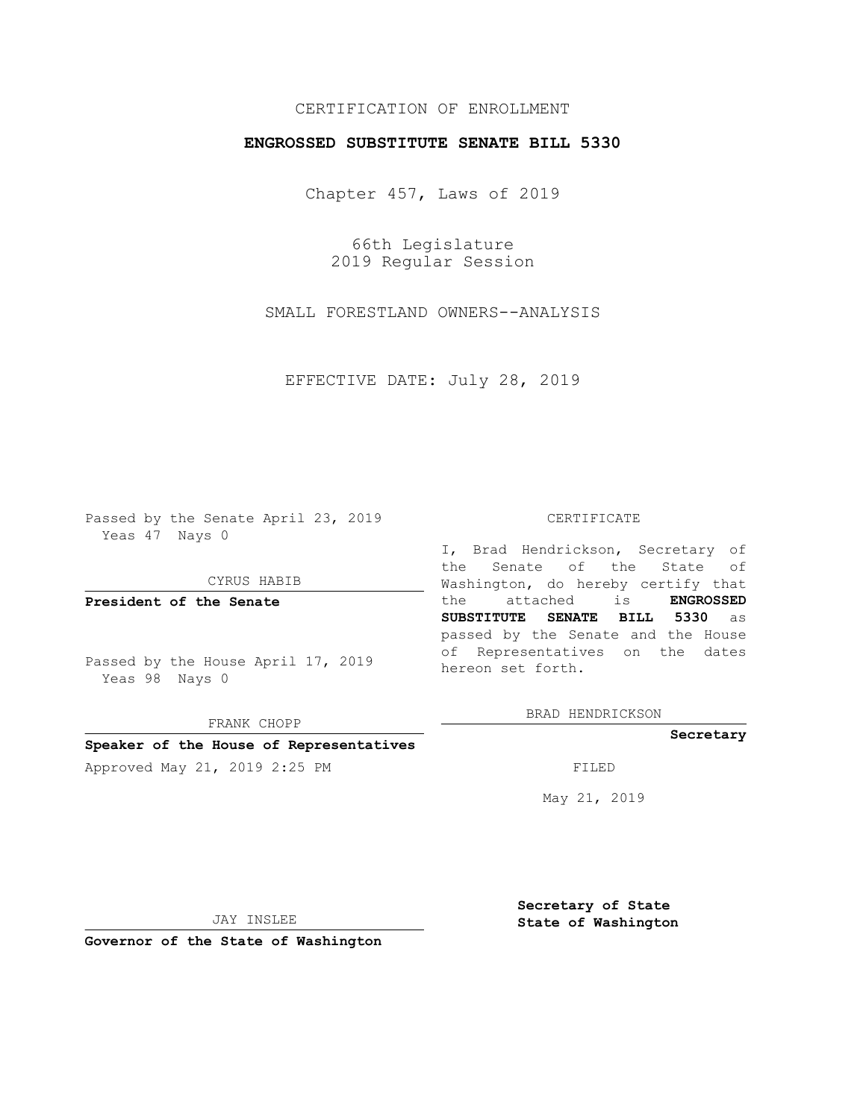# CERTIFICATION OF ENROLLMENT

## **ENGROSSED SUBSTITUTE SENATE BILL 5330**

Chapter 457, Laws of 2019

66th Legislature 2019 Regular Session

SMALL FORESTLAND OWNERS--ANALYSIS

EFFECTIVE DATE: July 28, 2019

Passed by the Senate April 23, 2019 Yeas 47 Nays 0

CYRUS HABIB

**President of the Senate**

Passed by the House April 17, 2019 Yeas 98 Nays 0

FRANK CHOPP

### **Speaker of the House of Representatives**

Approved May 21, 2019 2:25 PM FILED

#### CERTIFICATE

I, Brad Hendrickson, Secretary of the Senate of the State of Washington, do hereby certify that the attached is **ENGROSSED SUBSTITUTE SENATE BILL 5330** as passed by the Senate and the House of Representatives on the dates hereon set forth.

BRAD HENDRICKSON

#### **Secretary**

May 21, 2019

JAY INSLEE

**Governor of the State of Washington**

**Secretary of State State of Washington**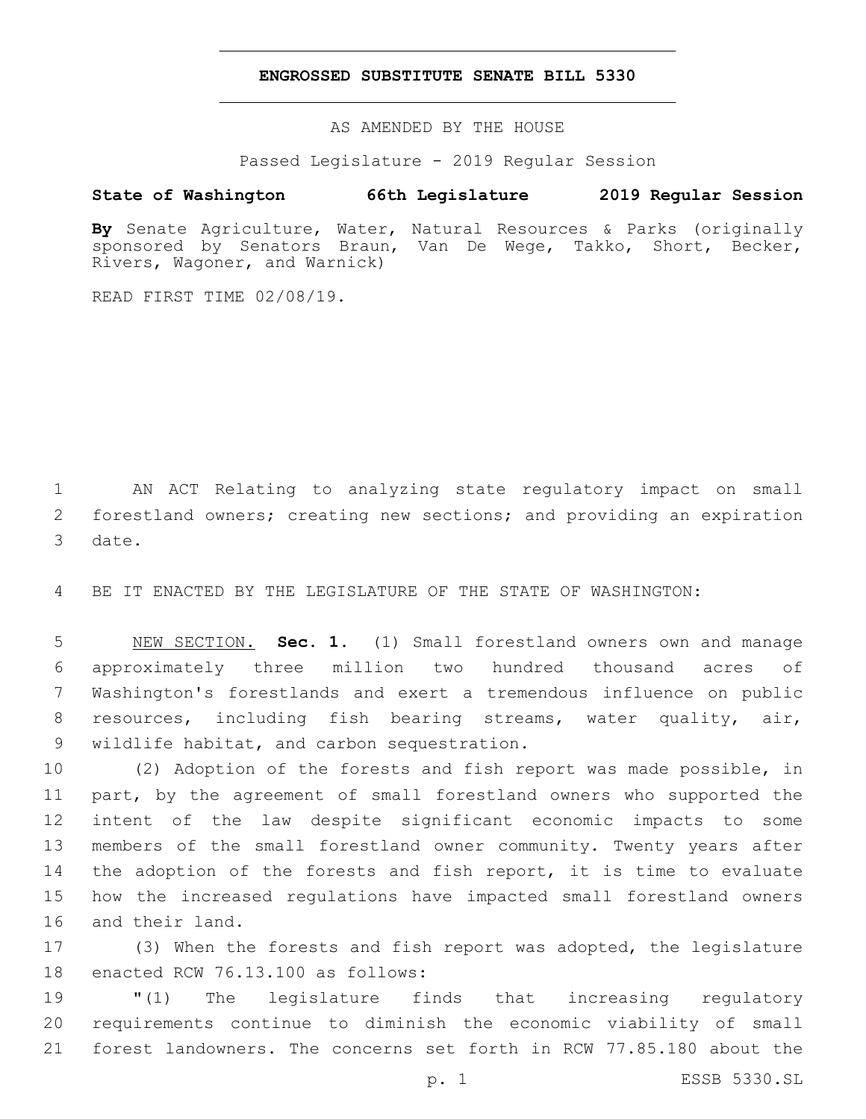## **ENGROSSED SUBSTITUTE SENATE BILL 5330**

AS AMENDED BY THE HOUSE

Passed Legislature - 2019 Regular Session

# **State of Washington 66th Legislature 2019 Regular Session**

**By** Senate Agriculture, Water, Natural Resources & Parks (originally sponsored by Senators Braun, Van De Wege, Takko, Short, Becker, Rivers, Wagoner, and Warnick)

READ FIRST TIME 02/08/19.

1 AN ACT Relating to analyzing state regulatory impact on small 2 forestland owners; creating new sections; and providing an expiration 3 date.

4 BE IT ENACTED BY THE LEGISLATURE OF THE STATE OF WASHINGTON:

 NEW SECTION. **Sec. 1.** (1) Small forestland owners own and manage approximately three million two hundred thousand acres of Washington's forestlands and exert a tremendous influence on public resources, including fish bearing streams, water quality, air, wildlife habitat, and carbon sequestration.

 (2) Adoption of the forests and fish report was made possible, in part, by the agreement of small forestland owners who supported the intent of the law despite significant economic impacts to some members of the small forestland owner community. Twenty years after 14 the adoption of the forests and fish report, it is time to evaluate how the increased regulations have impacted small forestland owners 16 and their land.

17 (3) When the forests and fish report was adopted, the legislature 18 enacted RCW 76.13.100 as follows:

19 "(1) The legislature finds that increasing regulatory 20 requirements continue to diminish the economic viability of small 21 forest landowners. The concerns set forth in RCW 77.85.180 about the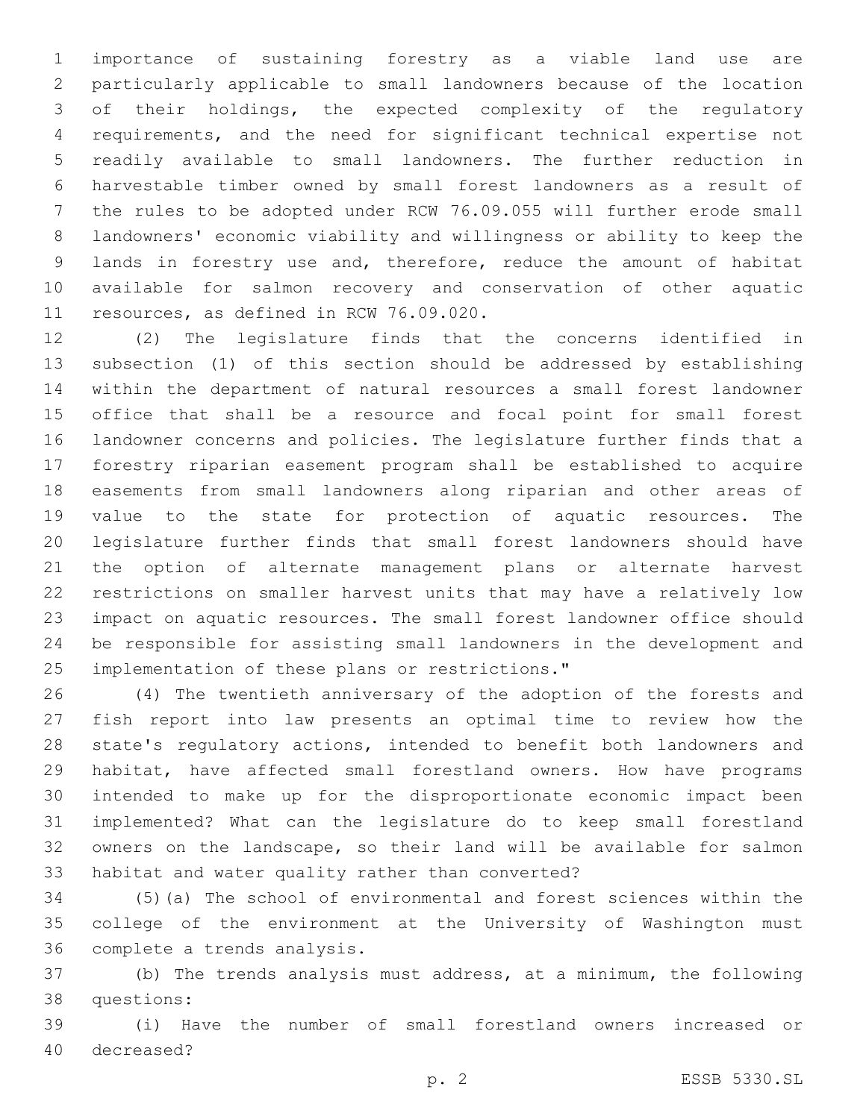importance of sustaining forestry as a viable land use are particularly applicable to small landowners because of the location of their holdings, the expected complexity of the regulatory requirements, and the need for significant technical expertise not readily available to small landowners. The further reduction in harvestable timber owned by small forest landowners as a result of the rules to be adopted under RCW 76.09.055 will further erode small landowners' economic viability and willingness or ability to keep the lands in forestry use and, therefore, reduce the amount of habitat available for salmon recovery and conservation of other aquatic 11 resources, as defined in RCW 76.09.020.

 (2) The legislature finds that the concerns identified in subsection (1) of this section should be addressed by establishing within the department of natural resources a small forest landowner office that shall be a resource and focal point for small forest landowner concerns and policies. The legislature further finds that a forestry riparian easement program shall be established to acquire easements from small landowners along riparian and other areas of value to the state for protection of aquatic resources. The legislature further finds that small forest landowners should have the option of alternate management plans or alternate harvest restrictions on smaller harvest units that may have a relatively low impact on aquatic resources. The small forest landowner office should be responsible for assisting small landowners in the development and 25 implementation of these plans or restrictions."

 (4) The twentieth anniversary of the adoption of the forests and fish report into law presents an optimal time to review how the state's regulatory actions, intended to benefit both landowners and habitat, have affected small forestland owners. How have programs intended to make up for the disproportionate economic impact been implemented? What can the legislature do to keep small forestland owners on the landscape, so their land will be available for salmon 33 habitat and water quality rather than converted?

 (5)(a) The school of environmental and forest sciences within the college of the environment at the University of Washington must 36 complete a trends analysis.

 (b) The trends analysis must address, at a minimum, the following 38 questions:

 (i) Have the number of small forestland owners increased or 40 decreased?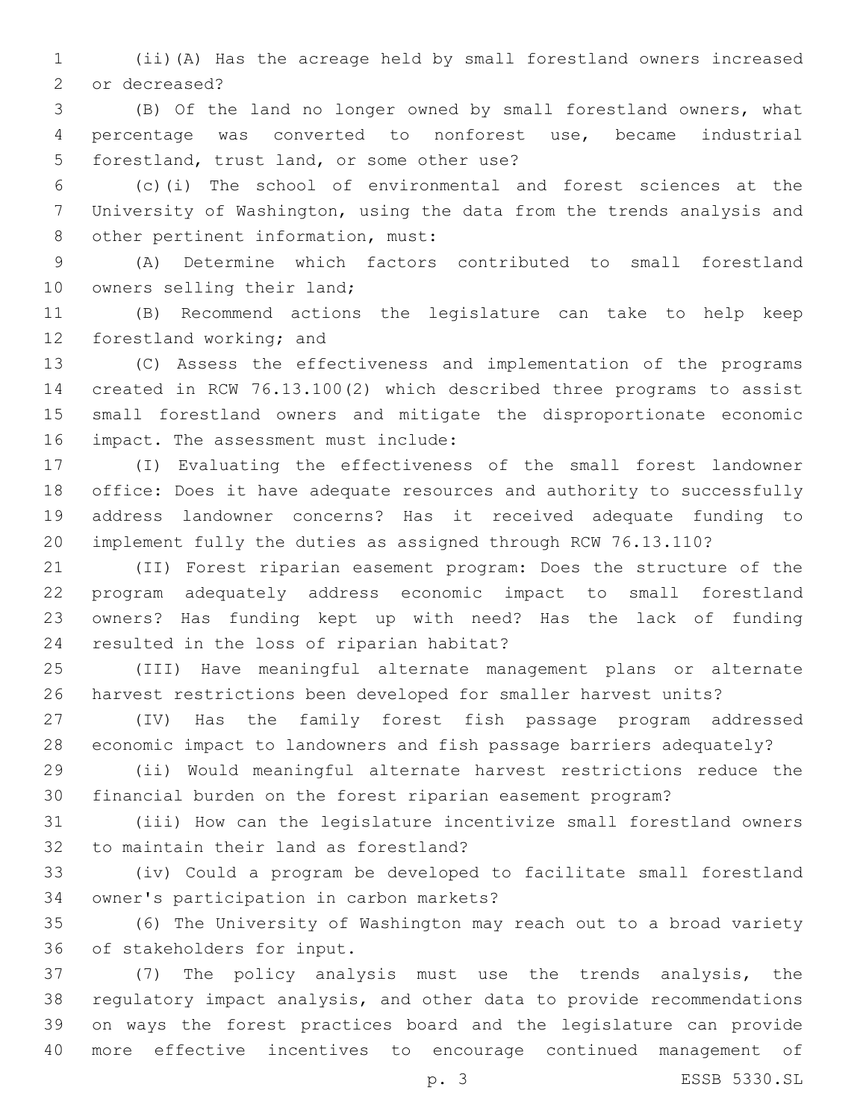(ii)(A) Has the acreage held by small forestland owners increased 2 or decreased?

 (B) Of the land no longer owned by small forestland owners, what percentage was converted to nonforest use, became industrial 5 forestland, trust land, or some other use?

 (c)(i) The school of environmental and forest sciences at the University of Washington, using the data from the trends analysis and 8 other pertinent information, must:

 (A) Determine which factors contributed to small forestland 10 owners selling their land;

 (B) Recommend actions the legislature can take to help keep 12 forestland working; and

 (C) Assess the effectiveness and implementation of the programs created in RCW 76.13.100(2) which described three programs to assist small forestland owners and mitigate the disproportionate economic 16 impact. The assessment must include:

 (I) Evaluating the effectiveness of the small forest landowner office: Does it have adequate resources and authority to successfully address landowner concerns? Has it received adequate funding to implement fully the duties as assigned through RCW 76.13.110?

 (II) Forest riparian easement program: Does the structure of the program adequately address economic impact to small forestland owners? Has funding kept up with need? Has the lack of funding 24 resulted in the loss of riparian habitat?

 (III) Have meaningful alternate management plans or alternate harvest restrictions been developed for smaller harvest units?

 (IV) Has the family forest fish passage program addressed economic impact to landowners and fish passage barriers adequately?

 (ii) Would meaningful alternate harvest restrictions reduce the financial burden on the forest riparian easement program?

 (iii) How can the legislature incentivize small forestland owners 32 to maintain their land as forestland?

 (iv) Could a program be developed to facilitate small forestland 34 owner's participation in carbon markets?

 (6) The University of Washington may reach out to a broad variety 36 of stakeholders for input.

 (7) The policy analysis must use the trends analysis, the regulatory impact analysis, and other data to provide recommendations on ways the forest practices board and the legislature can provide more effective incentives to encourage continued management of

p. 3 ESSB 5330.SL